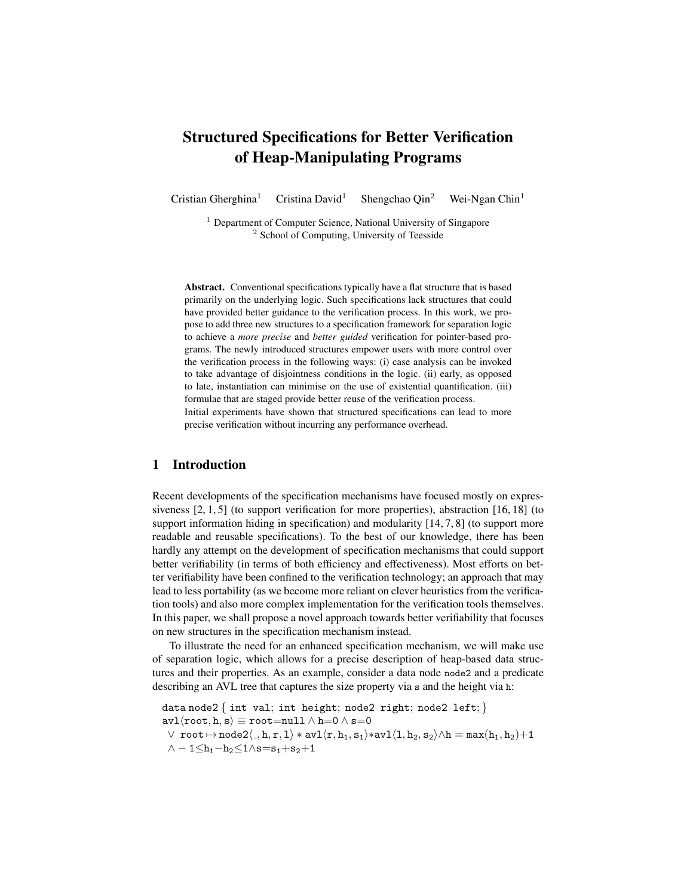# Structured Specifications for Better Verification of Heap-Manipulating Programs

Cristian Gherghina<sup>1</sup> Cristina David<sup>1</sup> Shengchao Qin<sup>2</sup> Wei-Ngan Chin<sup>1</sup>

<sup>1</sup> Department of Computer Science, National University of Singapore <sup>2</sup> School of Computing, University of Teesside

Abstract. Conventional specifications typically have a flat structure that is based primarily on the underlying logic. Such specifications lack structures that could have provided better guidance to the verification process. In this work, we propose to add three new structures to a specification framework for separation logic to achieve a *more precise* and *better guided* verification for pointer-based programs. The newly introduced structures empower users with more control over the verification process in the following ways: (i) case analysis can be invoked to take advantage of disjointness conditions in the logic. (ii) early, as opposed to late, instantiation can minimise on the use of existential quantification. (iii) formulae that are staged provide better reuse of the verification process. Initial experiments have shown that structured specifications can lead to more precise verification without incurring any performance overhead.

## 1 Introduction

Recent developments of the specification mechanisms have focused mostly on expressiveness [2, 1, 5] (to support verification for more properties), abstraction [16, 18] (to support information hiding in specification) and modularity [14, 7, 8] (to support more readable and reusable specifications). To the best of our knowledge, there has been hardly any attempt on the development of specification mechanisms that could support better verifiability (in terms of both efficiency and effectiveness). Most efforts on better verifiability have been confined to the verification technology; an approach that may lead to less portability (as we become more reliant on clever heuristics from the verification tools) and also more complex implementation for the verification tools themselves. In this paper, we shall propose a novel approach towards better verifiability that focuses on new structures in the specification mechanism instead.

To illustrate the need for an enhanced specification mechanism, we will make use of separation logic, which allows for a precise description of heap-based data structures and their properties. As an example, consider a data node node2 and a predicate describing an AVL tree that captures the size property via s and the height via h:

data node2 { int val; int height; node2 right; node2 left; }  $av1\langle root, h, s \rangle \equiv root = null \wedge h = 0 \wedge s = 0$  $\lor$  root  $\mapsto$ node2 $\langle$ , h, r, 1 $\rangle$  ∗ avl $\langle$ r, h<sub>1</sub>, s<sub>1</sub> $\rangle$ \*avl $\langle$ 1, h<sub>2</sub>, s<sub>2</sub> $\rangle$ ∧h = max $(h_1, h_2)$ +1  $∧ - 1 \leq h_1 - h_2 \leq 1 \land s = s_1 + s_2 + 1$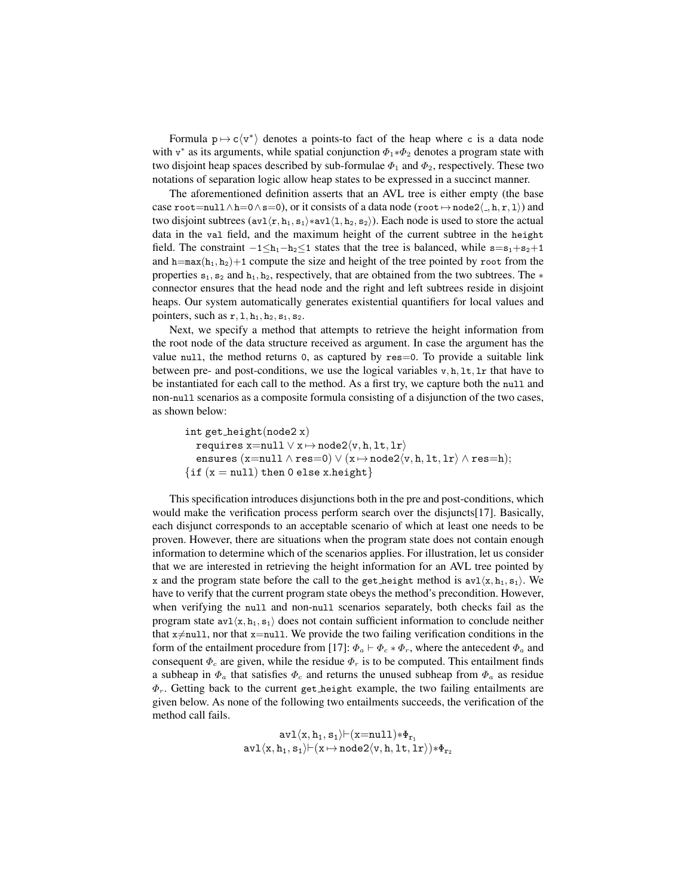Formula  $p \mapsto c \langle v^* \rangle$  denotes a points-to fact of the heap where c is a data node with  $v^*$  as its arguments, while spatial conjunction  $\Phi_1 * \Phi_2$  denotes a program state with two disjoint heap spaces described by sub-formulae  $\Phi_1$  and  $\Phi_2$ , respectively. These two notations of separation logic allow heap states to be expressed in a succinct manner.

The aforementioned definition asserts that an AVL tree is either empty (the base case root=null  $\wedge$ h=0 $\wedge$ s=0), or it consists of a data node (root  $\mapsto$  node2 $\langle$ , h, r, l)) and two disjoint subtrees (av1 $\langle$ r, h<sub>1</sub>, s<sub>1</sub>)\*avl $\langle$ 1, h<sub>2</sub>, s<sub>2</sub>)). Each node is used to store the actual data in the val field, and the maximum height of the current subtree in the height field. The constraint  $-1 \leq h_1 - h_2 \leq 1$  states that the tree is balanced, while  $s=s_1+s_2+1$ and h=max $(h_1, h_2)+1$  compute the size and height of the tree pointed by root from the properties  $s_1$ ,  $s_2$  and  $h_1$ ,  $h_2$ , respectively, that are obtained from the two subtrees. The  $*$ connector ensures that the head node and the right and left subtrees reside in disjoint heaps. Our system automatically generates existential quantifiers for local values and pointers, such as  $r, 1, h_1, h_2, s_1, s_2$ .

Next, we specify a method that attempts to retrieve the height information from the root node of the data structure received as argument. In case the argument has the value null, the method returns 0, as captured by res=0. To provide a suitable link between pre- and post-conditions, we use the logical variables  $v, h, \text{lt}, \text{lt}, \text{tr}$  that have to be instantiated for each call to the method. As a first try, we capture both the null and non-null scenarios as a composite formula consisting of a disjunction of the two cases, as shown below:

```
int get height(node2 x)
  requires x=null \lor x \mapsto node2\langle v, h, \text{lt}, \text{lr} \rangleensures (x=null \land res=0) \lor (x \mapsto node2\langle v, h, lt, lr \rangle \land res=h);\{if (x = null) then 0 else x. height\}
```
This specification introduces disjunctions both in the pre and post-conditions, which would make the verification process perform search over the disjuncts[17]. Basically, each disjunct corresponds to an acceptable scenario of which at least one needs to be proven. However, there are situations when the program state does not contain enough information to determine which of the scenarios applies. For illustration, let us consider that we are interested in retrieving the height information for an AVL tree pointed by x and the program state before the call to the get height method is  $av1(x, h_1, s_1)$ . We have to verify that the current program state obeys the method's precondition. However, when verifying the null and non-null scenarios separately, both checks fail as the program state  $av1(x, h_1, s_1)$  does not contain sufficient information to conclude neither that  $x\neq$ null, nor that  $x=$ null. We provide the two failing verification conditions in the form of the entailment procedure from [17]:  $\Phi_a \vdash \Phi_c * \Phi_r$ , where the antecedent  $\Phi_a$  and consequent  $\Phi_c$  are given, while the residue  $\Phi_r$  is to be computed. This entailment finds a subheap in  $\Phi_a$  that satisfies  $\Phi_c$  and returns the unused subheap from  $\Phi_a$  as residue  $\Phi_r$ . Getting back to the current get height example, the two failing entailments are given below. As none of the following two entailments succeeds, the verification of the method call fails.

$$
\begin{array}{c} \texttt{avl}\langle x,h_1,s_1\rangle\vdash (\texttt{x=null})*\Phi_{r_1}\\ \texttt{avl}\langle x,h_1,s_1\rangle\vdash (\texttt{x}\mapsto \texttt{node2}\langle v,h, \texttt{lt}, \texttt{lr}\rangle)*\Phi_{r_2} \end{array}
$$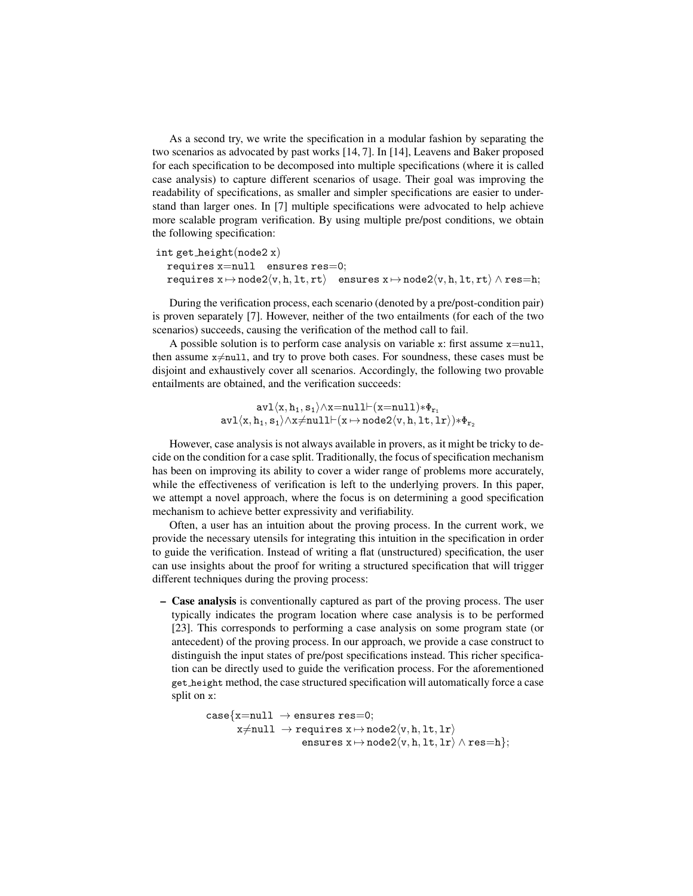As a second try, we write the specification in a modular fashion by separating the two scenarios as advocated by past works [14, 7]. In [14], Leavens and Baker proposed for each specification to be decomposed into multiple specifications (where it is called case analysis) to capture different scenarios of usage. Their goal was improving the readability of specifications, as smaller and simpler specifications are easier to understand than larger ones. In [7] multiple specifications were advocated to help achieve more scalable program verification. By using multiple pre/post conditions, we obtain the following specification:

```
int get height(node2 x)
  requires x=null ensures res=0;
  requires x \mapstonode2\langle v, h, It, rt \rangle ensures x \mapstonode2\langle v, h, It, rt \rangle \wedgeres=h;
```
During the verification process, each scenario (denoted by a pre/post-condition pair) is proven separately [7]. However, neither of the two entailments (for each of the two scenarios) succeeds, causing the verification of the method call to fail.

A possible solution is to perform case analysis on variable x: first assume  $x = null$ , then assume  $x\neq$ null, and try to prove both cases. For soundness, these cases must be disjoint and exhaustively cover all scenarios. Accordingly, the following two provable entailments are obtained, and the verification succeeds:

> $av1\langle x, h_1, s_1\rangle \wedge x=null \vdash (x=null)*\Phi_{r_1}$  $av1\langle x, h_1, s_1 \rangle \wedge x \neq null \vdash (x \mapsto node2\langle v, h, lt, lr \rangle) * \Phi_{rs}$

However, case analysis is not always available in provers, as it might be tricky to decide on the condition for a case split. Traditionally, the focus of specification mechanism has been on improving its ability to cover a wider range of problems more accurately, while the effectiveness of verification is left to the underlying provers. In this paper, we attempt a novel approach, where the focus is on determining a good specification mechanism to achieve better expressivity and verifiability.

Often, a user has an intuition about the proving process. In the current work, we provide the necessary utensils for integrating this intuition in the specification in order to guide the verification. Instead of writing a flat (unstructured) specification, the user can use insights about the proof for writing a structured specification that will trigger different techniques during the proving process:

– Case analysis is conventionally captured as part of the proving process. The user typically indicates the program location where case analysis is to be performed [23]. This corresponds to performing a case analysis on some program state (or antecedent) of the proving process. In our approach, we provide a case construct to distinguish the input states of pre/post specifications instead. This richer specification can be directly used to guide the verification process. For the aforementioned get height method, the case structured specification will automatically force a case split on x:

```
case{x=null} \rightarrow ensures res=0;x\neq null \rightarrow requires x \mapstonode2\langle v, h, It, Ir \rangleensures x \mapsto node2\langle v, h, It, lr \rangle \wedge res=h;
```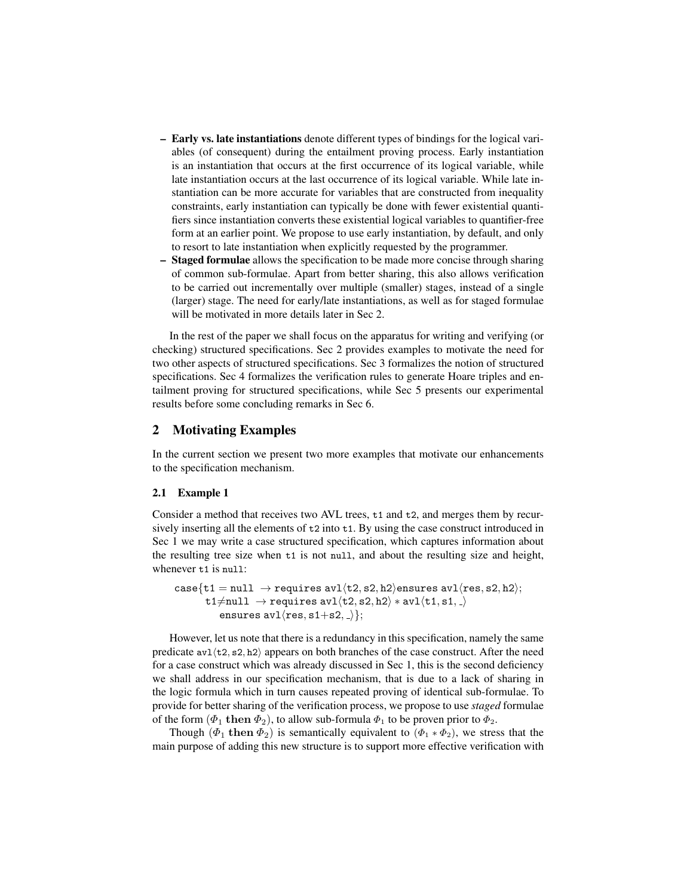- Early vs. late instantiations denote different types of bindings for the logical variables (of consequent) during the entailment proving process. Early instantiation is an instantiation that occurs at the first occurrence of its logical variable, while late instantiation occurs at the last occurrence of its logical variable. While late instantiation can be more accurate for variables that are constructed from inequality constraints, early instantiation can typically be done with fewer existential quantifiers since instantiation converts these existential logical variables to quantifier-free form at an earlier point. We propose to use early instantiation, by default, and only to resort to late instantiation when explicitly requested by the programmer.
- Staged formulae allows the specification to be made more concise through sharing of common sub-formulae. Apart from better sharing, this also allows verification to be carried out incrementally over multiple (smaller) stages, instead of a single (larger) stage. The need for early/late instantiations, as well as for staged formulae will be motivated in more details later in Sec 2.

In the rest of the paper we shall focus on the apparatus for writing and verifying (or checking) structured specifications. Sec 2 provides examples to motivate the need for two other aspects of structured specifications. Sec 3 formalizes the notion of structured specifications. Sec 4 formalizes the verification rules to generate Hoare triples and entailment proving for structured specifications, while Sec 5 presents our experimental results before some concluding remarks in Sec 6.

#### 2 Motivating Examples

In the current section we present two more examples that motivate our enhancements to the specification mechanism.

#### 2.1 Example 1

Consider a method that receives two AVL trees, t1 and t2, and merges them by recursively inserting all the elements of  $\pm 2$  into  $\pm 1$ . By using the case construct introduced in Sec 1 we may write a case structured specification, which captures information about the resulting tree size when t1 is not null, and about the resulting size and height, whenever  $t1$  is null:

```
case{t1 = null} \rightarrow requires avl(t2, s2, h2)ensures avl\langle res, s2, h2 \rangle;
         t1\neq \text{null} \rightarrow requires avl\langle t2, s2, h2 \rangle * avl\langle t1, s1, \ldots \rangleensures av1(res, s1+s2, \ldots);
```
However, let us note that there is a redundancy in this specification, namely the same predicate  $av1(t2, s2, h2)$  appears on both branches of the case construct. After the need for a case construct which was already discussed in Sec 1, this is the second deficiency we shall address in our specification mechanism, that is due to a lack of sharing in the logic formula which in turn causes repeated proving of identical sub-formulae. To provide for better sharing of the verification process, we propose to use *staged* formulae of the form  $(\Phi_1$  then  $\Phi_2$ ), to allow sub-formula  $\Phi_1$  to be proven prior to  $\Phi_2$ .

Though ( $\Phi_1$  then  $\Phi_2$ ) is semantically equivalent to ( $\Phi_1 * \Phi_2$ ), we stress that the main purpose of adding this new structure is to support more effective verification with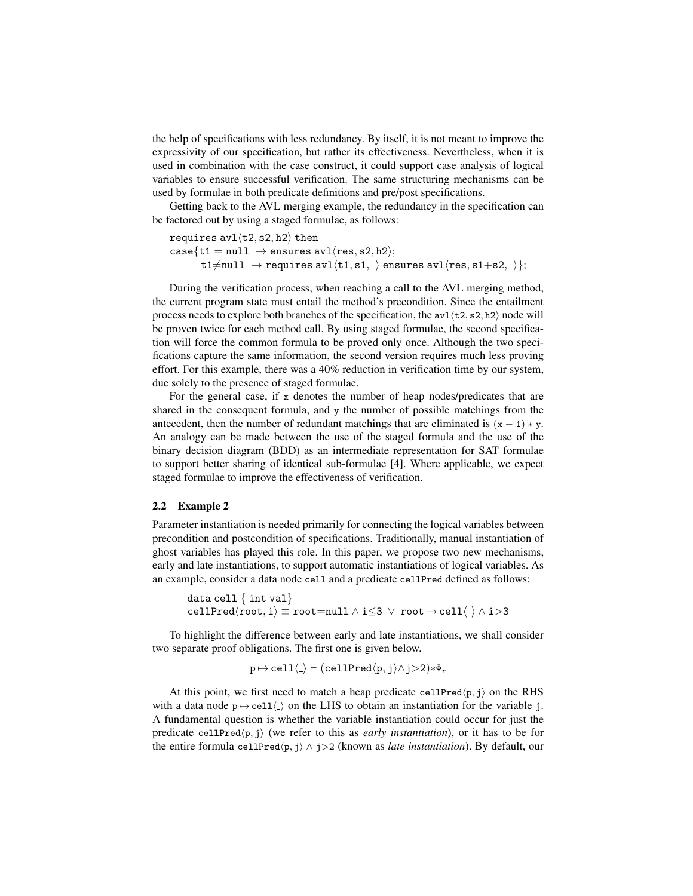the help of specifications with less redundancy. By itself, it is not meant to improve the expressivity of our specification, but rather its effectiveness. Nevertheless, when it is used in combination with the case construct, it could support case analysis of logical variables to ensure successful verification. The same structuring mechanisms can be used by formulae in both predicate definitions and pre/post specifications.

Getting back to the AVL merging example, the redundancy in the specification can be factored out by using a staged formulae, as follows:

```
requires av1(t2, s2, h2) then
\text{case} \{ \text{t1} = \text{null} \rightarrow \text{ensures avl} \langle \text{res}, \text{s2}, \text{h2} \rangle;\texttt{tl} \neq \texttt{nequires avl}(\texttt{tl}, \texttt{sl}, \_) ensures avl\langle \texttt{res}, \texttt{sl} + \texttt{sl}, \_ \rangle\};
```
During the verification process, when reaching a call to the AVL merging method, the current program state must entail the method's precondition. Since the entailment process needs to explore both branches of the specification, the  $av1 \langle t2, s2, h2 \rangle$  node will be proven twice for each method call. By using staged formulae, the second specification will force the common formula to be proved only once. Although the two specifications capture the same information, the second version requires much less proving effort. For this example, there was a 40% reduction in verification time by our system, due solely to the presence of staged formulae.

For the general case, if x denotes the number of heap nodes/predicates that are shared in the consequent formula, and y the number of possible matchings from the antecedent, then the number of redundant matchings that are eliminated is  $(x - 1) * y$ . An analogy can be made between the use of the staged formula and the use of the binary decision diagram (BDD) as an intermediate representation for SAT formulae to support better sharing of identical sub-formulae [4]. Where applicable, we expect staged formulae to improve the effectiveness of verification.

#### 2.2 Example 2

Parameter instantiation is needed primarily for connecting the logical variables between precondition and postcondition of specifications. Traditionally, manual instantiation of ghost variables has played this role. In this paper, we propose two new mechanisms, early and late instantiations, to support automatic instantiations of logical variables. As an example, consider a data node cell and a predicate cellPred defined as follows:

```
data cell \{ int val\}cellPred\langle root, i \rangle \equiv root = null \land i \leq 3 \lor root \mapsto cell \langle \rangle \land i > 3
```
To highlight the difference between early and late instantiations, we shall consider two separate proof obligations. The first one is given below.

$$
\mathtt{p}\!\mapsto\!\mathtt{cell}\langle\_\rangle\!\vdash(\mathtt{cellPred}\langle\mathtt{p},\mathtt{j}\rangle\!\wedge\!\mathtt{j}\!>\!2) *\Phi_\mathtt{r}
$$

At this point, we first need to match a heap predicate cellPred $\langle p, j \rangle$  on the RHS with a data node  $p \mapsto \text{cell}(\cdot)$  on the LHS to obtain an instantiation for the variable j. A fundamental question is whether the variable instantiation could occur for just the predicate cellPred $\langle p, j \rangle$  (we refer to this as *early instantiation*), or it has to be for the entire formula cellPred(p, j) ∧ j>2 (known as *late instantiation*). By default, our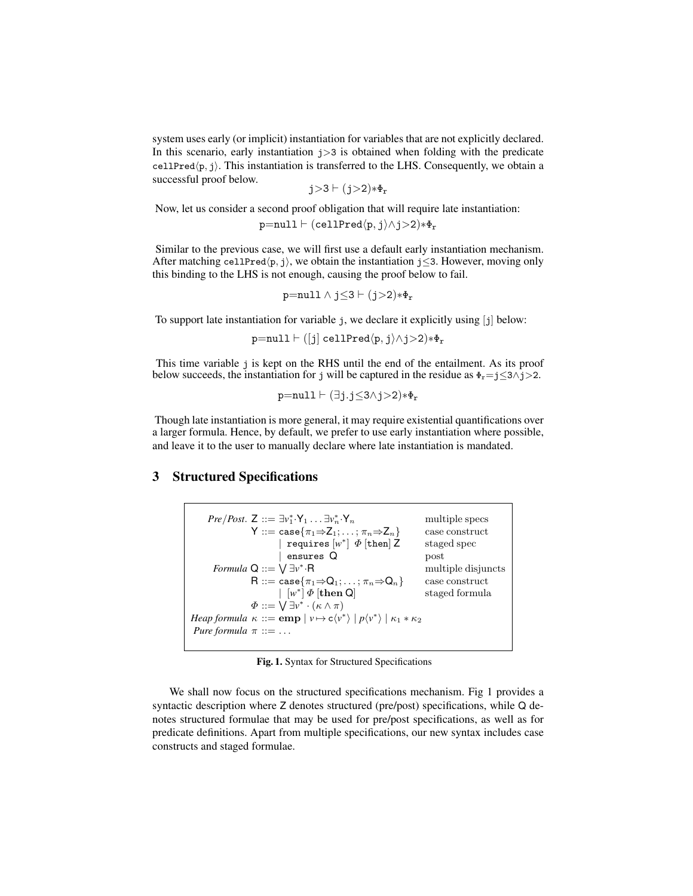system uses early (or implicit) instantiation for variables that are not explicitly declared. In this scenario, early instantiation  $j > 3$  is obtained when folding with the predicate cellPred $\langle p, j \rangle$ . This instantiation is transferred to the LHS. Consequently, we obtain a successful proof below.

 $j>3$   $\vdash$  ( $j>2$ )∗ $\Phi_r$ 

Now, let us consider a second proof obligation that will require late instantiation: p=null  $\vdash$  (cellPred $\langle p, j \rangle \land j > 2$ )\* $\Phi_r$ 

Similar to the previous case, we will first use a default early instantiation mechanism. After matching cellPred $\langle p, j \rangle$ , we obtain the instantiation j≤3. However, moving only this binding to the LHS is not enough, causing the proof below to fail.

$$
p{=}\texttt{null} \land j{\leq} 3 \vdash (j{>}2){*}\Phi_r
$$

To support late instantiation for variable  $\mathbf{j}$ , we declare it explicitly using  $[\mathbf{j}]$  below:

p=null  $\vdash$  ([j] cellPred $\langle p, j \rangle \wedge j$ >2)\* $\Phi_r$ 

This time variable j is kept on the RHS until the end of the entailment. As its proof below succeeds, the instantiation for j will be captured in the residue as  $\Phi_r = j \leq 3 \land j > 2$ .

$$
\texttt{p=null}\vdash (\exists \texttt{j}.\texttt{j}\leq 3 \wedge \texttt{j} > 2)*\Phi_{\texttt{r}}
$$

Though late instantiation is more general, it may require existential quantifications over a larger formula. Hence, by default, we prefer to use early instantiation where possible, and leave it to the user to manually declare where late instantiation is mandated.

## 3 Structured Specifications

| $Pre/Post.$ $\mathsf{Z} ::= \exists v_1^* \cdot \mathsf{Y}_1 \dots \exists v_n^* \cdot \mathsf{Y}_n$                                                    | multiple specs     |
|---------------------------------------------------------------------------------------------------------------------------------------------------------|--------------------|
| Y ::= case $\{\pi_1 \Rightarrow Z_1; \ldots; \pi_n \Rightarrow Z_n\}$                                                                                   | case construct     |
| requires $[w^*]$ $\Phi$ [then] Z                                                                                                                        | staged spec        |
| ensures Q                                                                                                                                               | post               |
| Formula $Q ::= \bigvee \exists v^* \cdot R$                                                                                                             | multiple disjuncts |
| $R ::= \text{case}\{\pi_1 \Rightarrow Q_1; \ldots; \pi_n \Rightarrow Q_n\}$                                                                             | case construct     |
| $\left  \begin{array}{c} \left[ w^* \right] \Phi \end{array} \right $ then Q                                                                            | staged formula     |
| $\Phi ::= \bigvee \exists v^* \cdot (\kappa \wedge \pi)$                                                                                                |                    |
| Heap formula $\kappa ::= \textbf{emp}   v \mapsto c \langle v^* \rangle   p \langle v^* \rangle   \kappa_1 * \kappa_2$<br>Pure formula $\pi ::= \ldots$ |                    |

Fig. 1. Syntax for Structured Specifications

We shall now focus on the structured specifications mechanism. Fig 1 provides a syntactic description where Z denotes structured (pre/post) specifications, while Q denotes structured formulae that may be used for pre/post specifications, as well as for predicate definitions. Apart from multiple specifications, our new syntax includes case constructs and staged formulae.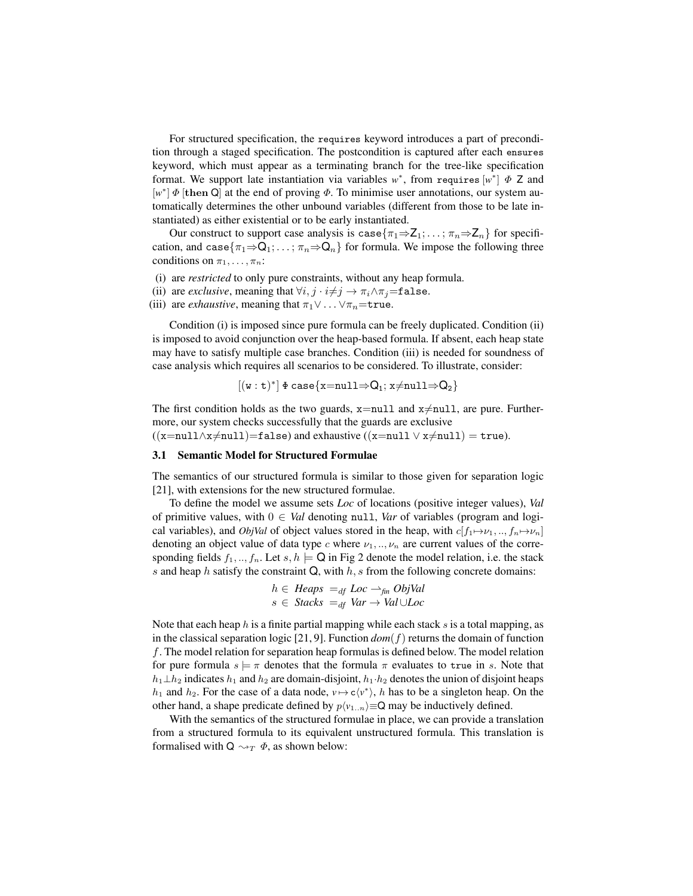For structured specification, the requires keyword introduces a part of precondition through a staged specification. The postcondition is captured after each ensures keyword, which must appear as a terminating branch for the tree-like specification format. We support late instantiation via variables  $w^*$ , from requires  $[w^*]$   $\Phi$  Z and [w<sup>\*</sup>]  $\Phi$  [then Q] at the end of proving *Φ*. To minimise user annotations, our system automatically determines the other unbound variables (different from those to be late instantiated) as either existential or to be early instantiated.

Our construct to support case analysis is case $\{\pi_1 \Rightarrow Z_1; \ldots; \pi_n \Rightarrow Z_n\}$  for specification, and case $\{\pi_1 \Rightarrow \mathbf{Q}_1; \ldots; \pi_n \Rightarrow \mathbf{Q}_n\}$  for formula. We impose the following three conditions on  $\pi_1, \ldots, \pi_n$ :

- (i) are *restricted* to only pure constraints, without any heap formula.
- (ii) are *exclusive*, meaning that  $\forall i, j \cdot i \neq j \rightarrow \pi_i \land \pi_j = \texttt{false}$ .
- (iii) are *exhaustive*, meaning that  $\pi_1 \vee \ldots \vee \pi_n$ =true.

Condition (i) is imposed since pure formula can be freely duplicated. Condition (ii) is imposed to avoid conjunction over the heap-based formula. If absent, each heap state may have to satisfy multiple case branches. Condition (iii) is needed for soundness of case analysis which requires all scenarios to be considered. To illustrate, consider:

$$
[(\mathtt{w}:\mathtt{t})^*] \, \mathtt{\Phi} \, \mathtt{case} \{ \mathtt{x} {=} \mathtt{null} { \Rightarrow} Q_1; \, \mathtt{x} { \neq } \mathtt{null} { \Rightarrow} Q_2 \}
$$

The first condition holds as the two guards,  $x=null$  and  $x\neq null$ , are pure. Furthermore, our system checks successfully that the guards are exclusive

 $((x=null\land x\neq null)=false)$  and exhaustive  $((x=null\lor x\neq null)=true)$ .

#### 3.1 Semantic Model for Structured Formulae

The semantics of our structured formula is similar to those given for separation logic [21], with extensions for the new structured formulae.

To define the model we assume sets *Loc* of locations (positive integer values), *Val* of primitive values, with  $0 \in Val$  denoting null, *Var* of variables (program and logical variables), and *ObjVal* of object values stored in the heap, with  $c[f_1 \mapsto \nu_1, ..., f_n \mapsto \nu_n]$ denoting an object value of data type c where  $\nu_1, \ldots, \nu_n$  are current values of the corresponding fields  $f_1, ..., f_n$ . Let  $s, h \models \mathsf{Q}$  in Fig 2 denote the model relation, i.e. the stack s and heap h satisfy the constraint  $Q$ , with  $h$ , s from the following concrete domains:

$$
h \in \text{Heaps} =_{df} \text{Loc} \rightarrow_{fin} \text{ObjVal}
$$
  

$$
s \in \text{Stacks} =_{df} \text{Var} \rightarrow \text{Val} \cup \text{Loc}
$$

Note that each heap h is a finite partial mapping while each stack s is a total mapping, as in the classical separation logic [21, 9]. Function *dom*(f) returns the domain of function f. The model relation for separation heap formulas is defined below. The model relation for pure formula  $s \models \pi$  denotes that the formula  $\pi$  evaluates to true in s. Note that  $h_1 \perp h_2$  indicates  $h_1$  and  $h_2$  are domain-disjoint,  $h_1 \cdot h_2$  denotes the union of disjoint heaps  $h_1$  and  $h_2$ . For the case of a data node,  $v \mapsto c\langle v^* \rangle$ , h has to be a singleton heap. On the other hand, a shape predicate defined by  $p\langle v_{1..n}\rangle$   $\equiv$ Q may be inductively defined.

With the semantics of the structured formulae in place, we can provide a translation from a structured formula to its equivalent unstructured formula. This translation is formalised with  $Q \sim_T \Phi$ , as shown below: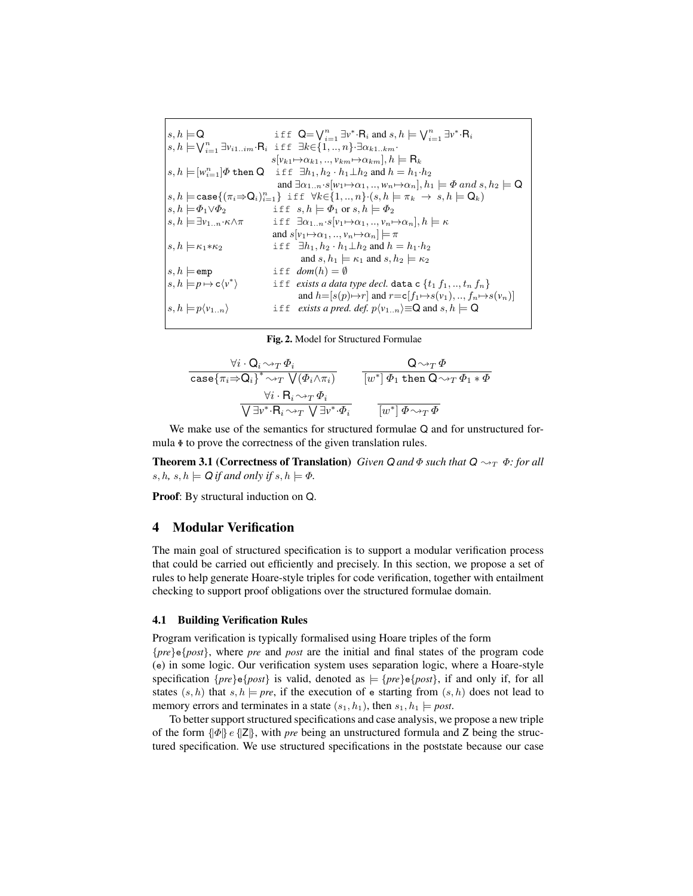$s, h \models \mathsf{Q}$  iff  $\mathsf{Q} = \bigvee_{i=1}^{n} \exists v^* \cdot \mathsf{R}_i$  and  $s, h \models \bigvee_{i=1}^{n} \exists v^* \cdot \mathsf{R}_i$  $s, h \models \bigvee_{i=1}^{n} \exists v_{i1..im} \cdot \mathsf{R}_{i}$  iff  $\exists k \in \{1, ..., n\} \cdot \exists \alpha_{k1..km} \cdot$  $s[v_{k1} \mapsto \alpha_{k1},..,v_{km} \mapsto \alpha_{km}], h \models \mathsf{R}_k$  $s, h \models [w_{i=1}^n]$  $\Phi$  then  $Q$  iff  $\exists h_1, h_2 \cdot h_1 \bot h_2$  and  $h = h_1 \cdot h_2$ and  $\exists \alpha_{1..n} s[w_1 \mapsto \alpha_1, ..., w_n \mapsto \alpha_n], h_1 \models \Phi$  and  $s, h_2 \models \mathsf{Q}$  $s, h \models \texttt{case}\{(\pi_i \Rightarrow \mathsf{Q}_i)_{i=1}^n\}$  iff  $\forall k \in \{1, ..., n\} \cdot (s, h \models \pi_k \rightarrow s, h \models \mathsf{Q}_k)$  $s, h \models \Phi_1 \lor \Phi_2$  iff  $s, h \models \Phi_1$  or  $s, h \models \Phi_2$  $s, h \models \exists v_{1..n} \cdot \kappa \wedge \pi$  iff  $\exists \alpha_{1..n} \cdot s[v_1 \mapsto \alpha_1, ..., v_n \mapsto \alpha_n], h \models \kappa$ and  $s[v_1 \mapsto \alpha_1, ..., v_n \mapsto \alpha_n] \models \pi$  $s, h \models \kappa_1 * \kappa_2$  iff  $\exists h_1, h_2 \cdot h_1 \bot h_2$  and  $h = h_1 \cdot h_2$ and  $s, h_1 \models \kappa_1$  and  $s, h_2 \models \kappa_2$  $s, h \models \text{emp}$  iff  $dom(h) = \emptyset$  $s, h \models p \mapsto c \langle v^* \rangle$ iff *exists a data type decl.* data c  $\{t_1, t_1, \ldots, t_n, t_n\}$ and  $h=[s(p)\mapsto r]$  and  $r=c[f_1\mapsto s(v_1),..., f_n\mapsto s(v_n)]$  $s, h \models p\langle v_{1..n}\rangle$  iff *exists a pred. def.*  $p\langle v_{1..n}\rangle \equiv \mathsf{Q}$  and  $s, h \models \mathsf{Q}$ 



$$
\begin{array}{cc}\n\forall i \cdot \mathbf{Q}_i \leadsto_T \Phi_i & \mathbf{Q} \leadsto_T \Phi \\
\hline\n\text{case}\{\pi_i \Rightarrow \mathbf{Q}_i\}^* \leadsto_T \bigvee (\Phi_i \wedge \pi_i) & [w^*] \ \Phi_1 \ \text{then}\ \mathbf{Q} \leadsto_T \Phi_1 \ast \Phi \\
\hline\n\quad \forall i \cdot \mathbf{R}_i \leadsto_T \Phi_i & \text{[}w^*] \ \Phi \leadsto_T \Phi\n\end{array}
$$

We make use of the semantics for structured formulae Q and for unstructured formula Φ to prove the correctness of the given translation rules.

**Theorem 3.1 (Correctness of Translation)** *Given*  $Q$  *and*  $\Phi$  *such that*  $Q \rightsquigarrow_T \Phi$ *: for all* s,  $h$ ,  $s$ ,  $h \models Q$  *if and only if*  $s$ ,  $h \models \Phi$ .

Proof: By structural induction on Q.

#### 4 Modular Verification

The main goal of structured specification is to support a modular verification process that could be carried out efficiently and precisely. In this section, we propose a set of rules to help generate Hoare-style triples for code verification, together with entailment checking to support proof obligations over the structured formulae domain.

#### 4.1 Building Verification Rules

Program verification is typically formalised using Hoare triples of the form

{*pre*}e{*post*}, where *pre* and *post* are the initial and final states of the program code (e) in some logic. Our verification system uses separation logic, where a Hoare-style specification  $\{pre\} \in \{post\}$  is valid, denoted as  $\models \{pre\} \in \{post\}$ , if and only if, for all states  $(s, h)$  that  $s, h \models pre$ , if the execution of e starting from  $(s, h)$  does not lead to memory errors and terminates in a state  $(s_1, h_1)$ , then  $s_1, h_1 \models post$ .

To better support structured specifications and case analysis, we propose a new triple of the form {|Φ|} e {|Z|}, with *pre* being an unstructured formula and Z being the structured specification. We use structured specifications in the poststate because our case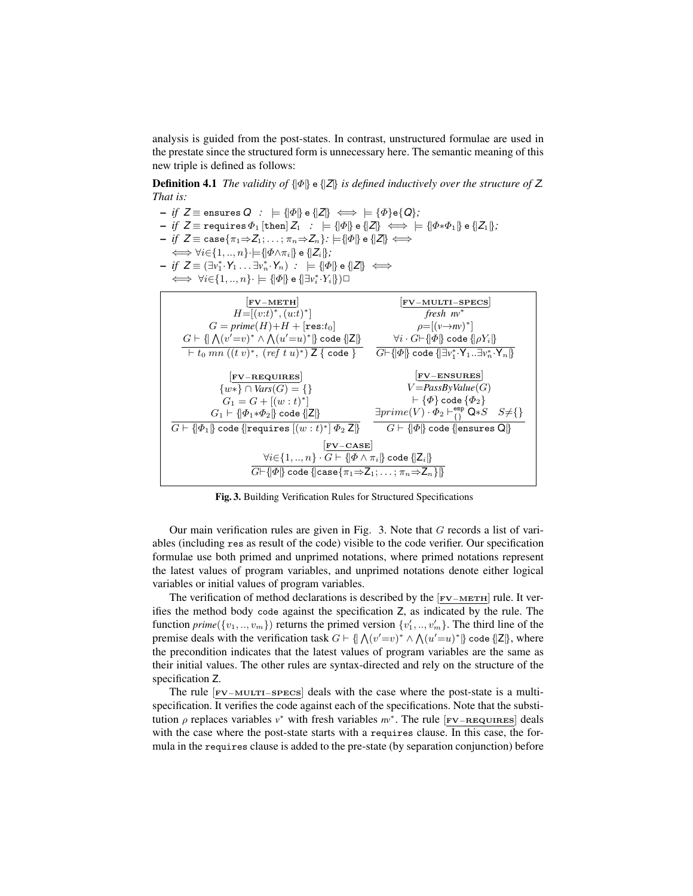analysis is guided from the post-states. In contrast, unstructured formulae are used in the prestate since the structured form is unnecessary here. The semantic meaning of this new triple is defined as follows:

Definition 4.1 *The validity of* {|Φ|} e {|*Z*|} *is defined inductively over the structure of Z. That is:*

- if 
$$
Z \equiv
$$
 ensures  $Q : \models {\{\varPhi\}\in{\{Z\}}}\iff {\{\varPhi\}\in{\{Q\}}};$   
\n- if  $Z \equiv$  requires  $\Phi_1$  [then]  $Z_1 : \models {\{\varPhi\}\in{\{Z\}}}\iff {\{\varPhi\}\in{\{\varPhi\}}};$   
\n- if  $Z \equiv$  case $\{\pi_1 \Rightarrow Z_1; \ldots; \pi_n \Rightarrow Z_n\} : {\{\varPhi\}\in{\{\{Z\}}}\iff {\{\varPhi\}\in{\{Z\}}};$   
\n $\iff \forall i \in \{1, ..., n\} : {\{\varPhi\}\in{\{Z_i\}}};$   
\n- if  $Z \equiv (\exists v_1^* \cdot Y_1 \ldots \exists v_n^* \cdot Y_n) : {\{\varPhi\}\in{\{\{Z\}}}\iff$   
\n $\iff \forall i \in \{1, ..., n\} : {\{\varPhi\}\in{\{\exists v_i^* \cdot Y_i\}}\} \square$ 



Fig. 3. Building Verification Rules for Structured Specifications

Our main verification rules are given in Fig. 3. Note that  $G$  records a list of variables (including res as result of the code) visible to the code verifier. Our specification formulae use both primed and unprimed notations, where primed notations represent the latest values of program variables, and unprimed notations denote either logical variables or initial values of program variables.

The verification of method declarations is described by the [FV−METH] rule. It verifies the method body code against the specification Z, as indicated by the rule. The function *prime*( $\{v_1, ..., v_m\}$ ) returns the primed version  $\{v'_1, ..., v'_m\}$ . The third line of the premise deals with the verification task  $G \vdash \{ \bigwedge (v' = v)^* \land \bigwedge (u' = u)^* \}$  code  $\{Z\}$ , where the precondition indicates that the latest values of program variables are the same as their initial values. The other rules are syntax-directed and rely on the structure of the specification Z.

The rule [FV−MULTI−SPECS] deals with the case where the post-state is a multispecification. It verifies the code against each of the specifications. Note that the substitution  $\rho$  replaces variables  $v^*$  with fresh variables  $nv^*$ . The rule [FV–REQUIRES] deals with the case where the post-state starts with a requires clause. In this case, the formula in the requires clause is added to the pre-state (by separation conjunction) before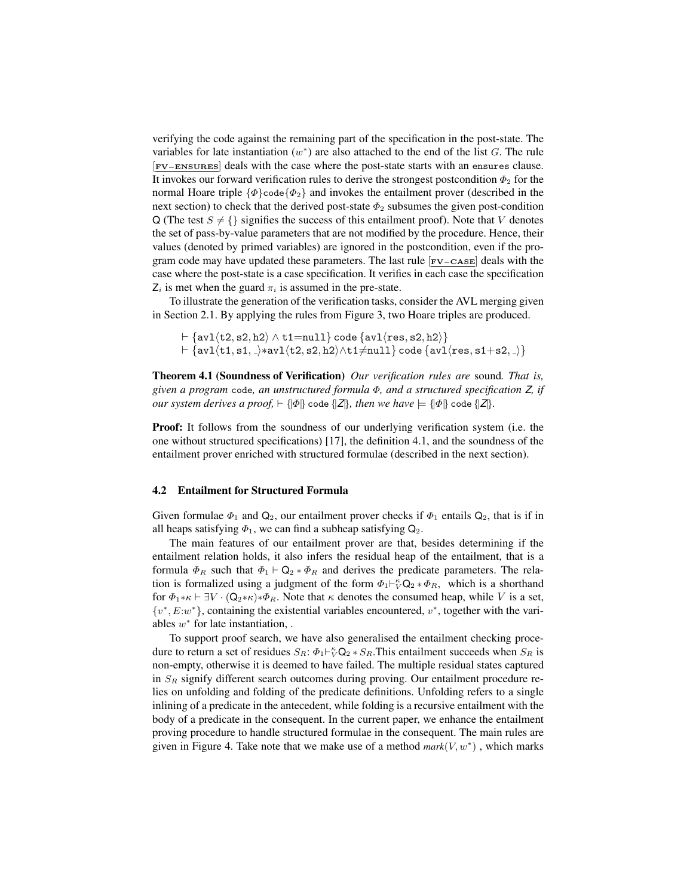verifying the code against the remaining part of the specification in the post-state. The variables for late instantiation  $(w^*)$  are also attached to the end of the list G. The rule [FV−ENSURES] deals with the case where the post-state starts with an ensures clause. It invokes our forward verification rules to derive the strongest postcondition  $\Phi_2$  for the normal Hoare triple  $\{\Phi\}$ code $\{\Phi_2\}$  and invokes the entailment prover (described in the next section) to check that the derived post-state  $\Phi_2$  subsumes the given post-condition Q (The test  $S \neq \{\}$  signifies the success of this entailment proof). Note that V denotes the set of pass-by-value parameters that are not modified by the procedure. Hence, their values (denoted by primed variables) are ignored in the postcondition, even if the program code may have updated these parameters. The last rule [FV−CASE] deals with the case where the post-state is a case specification. It verifies in each case the specification  $Z_i$  is met when the guard  $\pi_i$  is assumed in the pre-state.

To illustrate the generation of the verification tasks, consider the AVL merging given in Section 2.1. By applying the rules from Figure 3, two Hoare triples are produced.

 $\vdash$  {avl $\langle$ t2, s2, h2}  $\land$  t1=null} code {avl $\langle$ res, s2, h2}}  $\dashv \{\text{avl/t1}, \text{sl}, \ldots\}$ \*avl $\langle \text{t2}, \text{sl}, \text{h2} \rangle \wedge \text{t1} \neq \text{null} \}$  code  $\{\text{avl} \langle \text{res}, \text{sl} + \text{sl}, \ldots \rangle\}$ 

Theorem 4.1 (Soundness of Verification) *Our verification rules are* sound*. That is, given a program* code*, an unstructured formula* Φ*, and a structured specification Z, if our system derives a proof,*  $\vdash \{\phi\}$  code  $\{Z\}$ *, then we have*  $\models \{\phi\}$  code  $\{Z\}$ *.* 

**Proof:** It follows from the soundness of our underlying verification system (i.e. the one without structured specifications) [17], the definition 4.1, and the soundness of the entailment prover enriched with structured formulae (described in the next section).

#### 4.2 Entailment for Structured Formula

Given formulae  $\Phi_1$  and  $\mathsf{Q}_2$ , our entailment prover checks if  $\Phi_1$  entails  $\mathsf{Q}_2$ , that is if in all heaps satisfying  $\Phi_1$ , we can find a subheap satisfying  $Q_2$ .

The main features of our entailment prover are that, besides determining if the entailment relation holds, it also infers the residual heap of the entailment, that is a formula  $\Phi_R$  such that  $\Phi_1 \vdash \mathsf{Q}_2 * \Phi_R$  and derives the predicate parameters. The relation is formalized using a judgment of the form  $\Phi_1 \vdash_V^{\kappa} Q_2 * \Phi_R$ , which is a shorthand for  $\Phi_1$ \* $\kappa \vdash \exists V \cdot (Q_2 \ast \kappa) \ast \Phi_R$ . Note that  $\kappa$  denotes the consumed heap, while V is a set, {v<sup>\*</sup>, E:w<sup>\*</sup>}, containing the existential variables encountered, v<sup>\*</sup>, together with the variables  $w^*$  for late instantiation, .

To support proof search, we have also generalised the entailment checking procedure to return a set of residues  $S_R$ :  $\Phi_1 \vdash_V^k Q_2 * S_R$ . This entailment succeeds when  $S_R$  is non-empty, otherwise it is deemed to have failed. The multiple residual states captured in  $S_R$  signify different search outcomes during proving. Our entailment procedure relies on unfolding and folding of the predicate definitions. Unfolding refers to a single inlining of a predicate in the antecedent, while folding is a recursive entailment with the body of a predicate in the consequent. In the current paper, we enhance the entailment proving procedure to handle structured formulae in the consequent. The main rules are given in Figure 4. Take note that we make use of a method  $mark(V, w^*)$ , which marks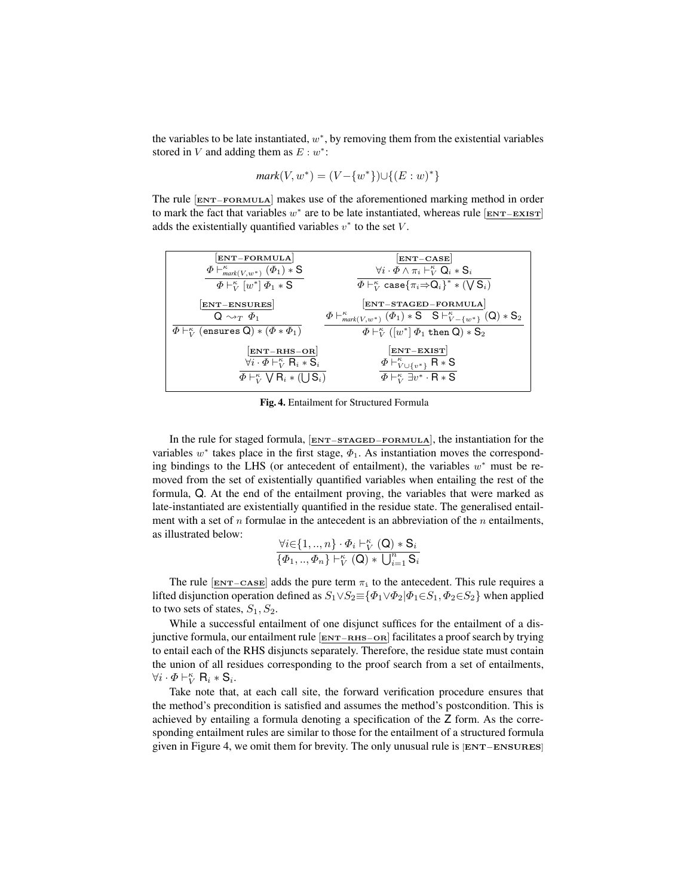the variables to be late instantiated,  $w^*$ , by removing them from the existential variables stored in  $V$  and adding them as  $E : w^*$ :

$$
mark(V, w^*) = (V - \{w^*\}) \cup \{(E : w)^*\}
$$

The rule [ENT−FORMULA] makes use of the aforementioned marking method in order to mark the fact that variables  $w^*$  are to be late instantiated, whereas rule  $[\text{ENT}-\text{EXIST}]$ adds the existentially quantified variables  $v^*$  to the set V.

| $ENT-FORMULA$                                                  | $ ENT-CASE $                                                                                           |
|----------------------------------------------------------------|--------------------------------------------------------------------------------------------------------|
| $\Phi \vdash_{\textit{mark}(V,w^*)}^{\kappa} (\Phi_1) * S$     | $\forall i \cdot \Phi \wedge \pi_i \vdash_V^{\kappa} \mathsf{Q}_i * \mathsf{S}_i$                      |
| $\Phi\vdash_V^\kappa [w^*]\Phi_1*\mathsf{S}$                   | $\Phi \vdash_V^{\kappa} \text{case} \{\pi_i \Rightarrow Q_i\}^* * (\bigvee S_i)$                       |
| ENT-ENSURES                                                    | $ ENT - STAGED - FORMULA $                                                                             |
| $Q \rightsquigarrow_T \phi_1$                                  | $\Phi \vdash_{\text{mark}(V,w^*)}^{\kappa} (\Phi_1) * S \quad S \vdash_{V-\{w^*\}}^{\kappa} (Q) * S_2$ |
| $\Phi \vdash_V^{\kappa} (\text{ensures } Q) * (\Phi * \Phi_1)$ | $\Phi \vdash_V^{\kappa} ([w^*] \Phi_1 \text{ then } Q) * S_2$                                          |
| ENT-RHS-OR                                                     | ENT-EXIST                                                                                              |
| $\forall i \cdot \Phi \vdash^{\kappa}_{V} R_i * S_i$           | $\Phi \vdash^{\kappa}_{V \cup \{v^*\}} \mathsf{R} * \mathsf{S}$                                        |
| $\Phi \vdash_V^{\kappa} \bigvee R_i * (I \, S_i)$              | $\Phi\vdash_V^\kappa \exists v^*\cdot\mathsf{R}*\mathsf{S}$                                            |

Fig. 4. Entailment for Structured Formula

In the rule for staged formula, [ENT−STAGED−FORMULA], the instantiation for the variables  $w^*$  takes place in the first stage,  $\Phi_1$ . As instantiation moves the corresponding bindings to the LHS (or antecedent of entailment), the variables  $w^*$  must be removed from the set of existentially quantified variables when entailing the rest of the formula, Q. At the end of the entailment proving, the variables that were marked as late-instantiated are existentially quantified in the residue state. The generalised entailment with a set of n formulae in the antecedent is an abbreviation of the n entailments, as illustrated below:

$$
\frac{\forall i{\in}\{1,..,n\}\cdot\boldsymbol{\varPhi}_{i}\vdash^{ \kappa}_{V}(\mathbf{Q})\ast\mathbf{S}_{i}}{\{\boldsymbol{\varPhi}_{1},..,\boldsymbol{\varPhi}_{n}\}\vdash^{ \kappa}_{V}(\mathbf{Q})\ast\bigcup_{i=1}^{n}\mathbf{S}_{i}}
$$

The rule [ENT−CASE] adds the pure term  $\pi_i$  to the antecedent. This rule requires a lifted disjunction operation defined as  $S_1 \vee S_2 \equiv \{\Phi_1 \vee \Phi_2 | \Phi_1 \in S_1, \Phi_2 \in S_2\}$  when applied to two sets of states,  $S_1, S_2$ .

While a successful entailment of one disjunct suffices for the entailment of a disjunctive formula, our entailment rule [ENT−RHS−OR] facilitates a proof search by trying to entail each of the RHS disjuncts separately. Therefore, the residue state must contain the union of all residues corresponding to the proof search from a set of entailments,  $\forall i \cdot \Phi \vdash^{\kappa}_{V} R_{i} * S_{i}.$ 

Take note that, at each call site, the forward verification procedure ensures that the method's precondition is satisfied and assumes the method's postcondition. This is achieved by entailing a formula denoting a specification of the Z form. As the corresponding entailment rules are similar to those for the entailment of a structured formula given in Figure 4, we omit them for brevity. The only unusual rule is [ENT−ENSURES]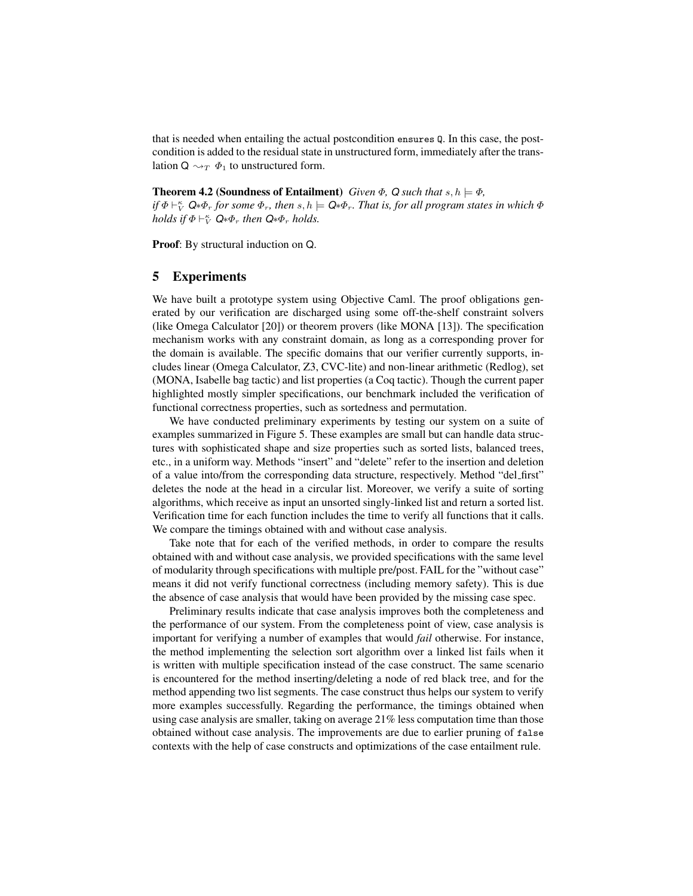that is needed when entailing the actual postcondition ensures Q. In this case, the postcondition is added to the residual state in unstructured form, immediately after the translation Q  $\sim_T \Phi_1$  to unstructured form.

**Theorem 4.2 (Soundness of Entailment)** *Given*  $\Phi$ , *Q such that*  $s, h \models \Phi$ *,* 

*if*  $\Phi \vdash_V^{\kappa} \mathsf{Q}_* \Phi_r$  for some  $\Phi_r$ , then  $s, h \models \mathsf{Q}_*\Phi_r$ . That is, for all program states in which  $\Phi$ *holds if*  $\Phi \vdash_V^{\kappa} \mathsf{Q} * \Phi_r$  *then*  $\mathsf{Q} * \Phi_r$  *holds.* 

Proof: By structural induction on Q.

#### 5 Experiments

We have built a prototype system using Objective Caml. The proof obligations generated by our verification are discharged using some off-the-shelf constraint solvers (like Omega Calculator [20]) or theorem provers (like MONA [13]). The specification mechanism works with any constraint domain, as long as a corresponding prover for the domain is available. The specific domains that our verifier currently supports, includes linear (Omega Calculator, Z3, CVC-lite) and non-linear arithmetic (Redlog), set (MONA, Isabelle bag tactic) and list properties (a Coq tactic). Though the current paper highlighted mostly simpler specifications, our benchmark included the verification of functional correctness properties, such as sortedness and permutation.

We have conducted preliminary experiments by testing our system on a suite of examples summarized in Figure 5. These examples are small but can handle data structures with sophisticated shape and size properties such as sorted lists, balanced trees, etc., in a uniform way. Methods "insert" and "delete" refer to the insertion and deletion of a value into/from the corresponding data structure, respectively. Method "del first" deletes the node at the head in a circular list. Moreover, we verify a suite of sorting algorithms, which receive as input an unsorted singly-linked list and return a sorted list. Verification time for each function includes the time to verify all functions that it calls. We compare the timings obtained with and without case analysis.

Take note that for each of the verified methods, in order to compare the results obtained with and without case analysis, we provided specifications with the same level of modularity through specifications with multiple pre/post. FAIL for the "without case" means it did not verify functional correctness (including memory safety). This is due the absence of case analysis that would have been provided by the missing case spec.

Preliminary results indicate that case analysis improves both the completeness and the performance of our system. From the completeness point of view, case analysis is important for verifying a number of examples that would *fail* otherwise. For instance, the method implementing the selection sort algorithm over a linked list fails when it is written with multiple specification instead of the case construct. The same scenario is encountered for the method inserting/deleting a node of red black tree, and for the method appending two list segments. The case construct thus helps our system to verify more examples successfully. Regarding the performance, the timings obtained when using case analysis are smaller, taking on average 21% less computation time than those obtained without case analysis. The improvements are due to earlier pruning of false contexts with the help of case constructs and optimizations of the case entailment rule.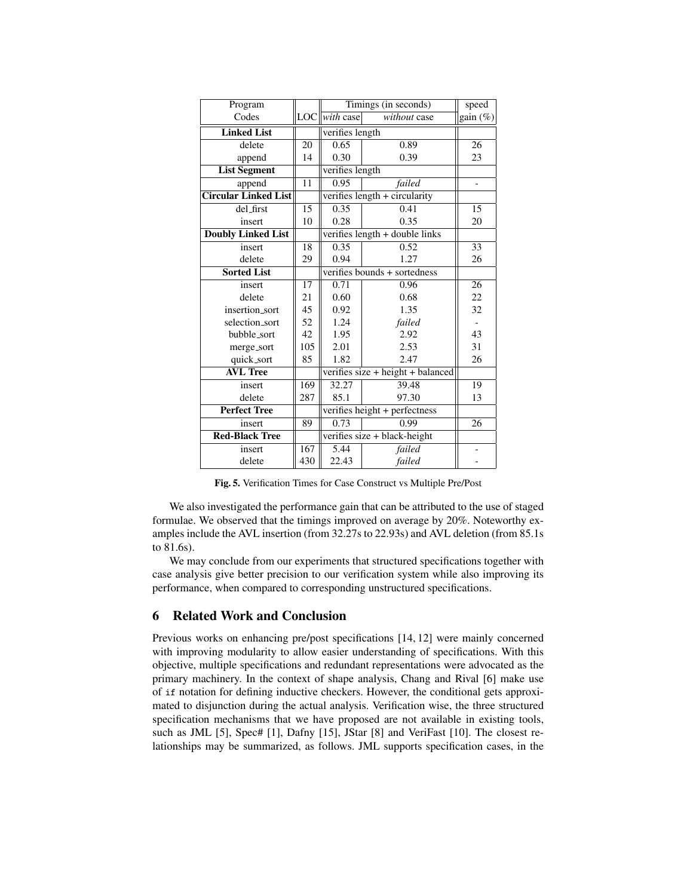| Program                     |            | Timings (in seconds)                                     |              | speed       |
|-----------------------------|------------|----------------------------------------------------------|--------------|-------------|
| Codes                       | <b>LOC</b> | <i>with</i> case                                         | without case | $gain (\%)$ |
| <b>Linked List</b>          |            | verifies length                                          |              |             |
| delete                      | 20         | 0.65                                                     | 0.89         | 26          |
| append                      | 14         | 0.30                                                     | 0.39         | 23          |
| <b>List Segment</b>         |            | verifies length                                          |              |             |
| append                      | 11         | 0.95                                                     | failed       |             |
| <b>Circular Linked List</b> |            | verifies $\overline{\text{length} + \text{circularity}}$ |              |             |
| del_first                   | 15         | 0.35                                                     | 0.41         | 15          |
| insert                      | 10         | 0.28                                                     | 0.35         | 20          |
| <b>Doubly Linked List</b>   |            | verifies length + double links                           |              |             |
| insert                      | 18         | 0.35                                                     | 0.52         | 33          |
| delete                      | 29         | 0.94                                                     | 1.27         | 26          |
| <b>Sorted List</b>          |            | verifies bounds + sortedness                             |              |             |
| insert                      | 17         | 0.71                                                     | 0.96         | 26          |
| delete                      | 21         | 0.60                                                     | 0.68         | 22          |
| insertion_sort              | 45         | 0.92                                                     | 1.35         | 32          |
| selection_sort              | 52         | 1.24                                                     | failed       |             |
| bubble_sort                 | 42         | 1.95                                                     | 2.92         | 43          |
| merge_sort                  | 105        | 2.01                                                     | 2.53         | 31          |
| quick_sort                  | 85         | 1.82                                                     | 2.47         | 26          |
| <b>AVL</b> Tree             |            | verifies size + height + balanced                        |              |             |
| insert                      | 169        | 32.27                                                    | 39.48        | 19          |
| delete                      | 287        | 85.1                                                     | 97.30        | 13          |
| <b>Perfect Tree</b>         |            | verifies height $+$ perfectness                          |              |             |
| insert                      | 89         | 0.73                                                     | 0.99         | 26          |
| <b>Red-Black Tree</b>       |            | verifies size + black-height                             |              |             |
| insert                      | 167        | 5.44                                                     | failed       |             |
| delete                      | 430        | 22.43                                                    | failed       |             |

Fig. 5. Verification Times for Case Construct vs Multiple Pre/Post

We also investigated the performance gain that can be attributed to the use of staged formulae. We observed that the timings improved on average by 20%. Noteworthy examples include the AVL insertion (from 32.27s to 22.93s) and AVL deletion (from 85.1s to 81.6s).

We may conclude from our experiments that structured specifications together with case analysis give better precision to our verification system while also improving its performance, when compared to corresponding unstructured specifications.

## 6 Related Work and Conclusion

Previous works on enhancing pre/post specifications [14, 12] were mainly concerned with improving modularity to allow easier understanding of specifications. With this objective, multiple specifications and redundant representations were advocated as the primary machinery. In the context of shape analysis, Chang and Rival [6] make use of if notation for defining inductive checkers. However, the conditional gets approximated to disjunction during the actual analysis. Verification wise, the three structured specification mechanisms that we have proposed are not available in existing tools, such as JML [5], Spec# [1], Dafny [15], JStar [8] and VeriFast [10]. The closest relationships may be summarized, as follows. JML supports specification cases, in the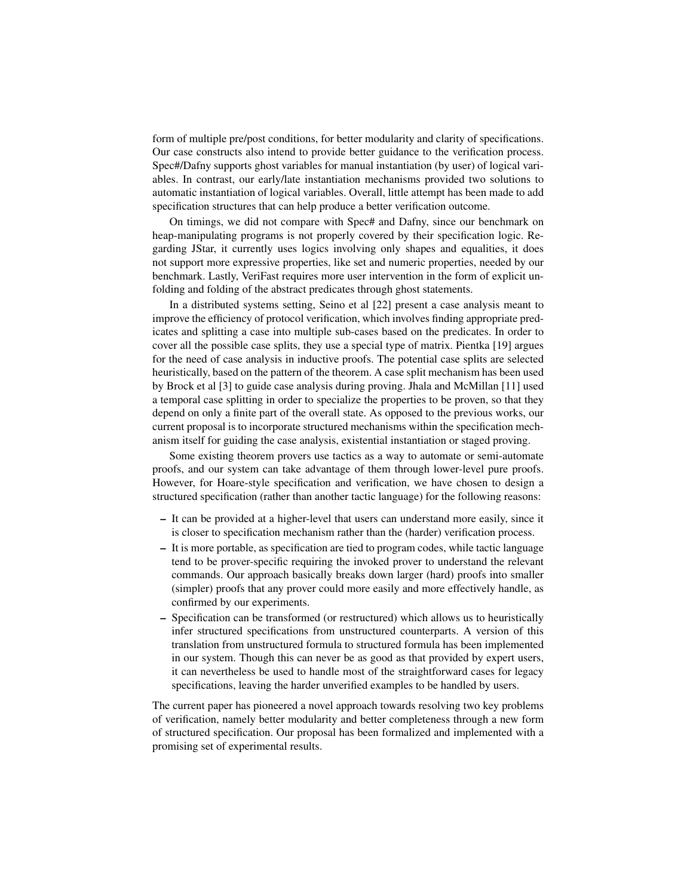form of multiple pre/post conditions, for better modularity and clarity of specifications. Our case constructs also intend to provide better guidance to the verification process. Spec#/Dafny supports ghost variables for manual instantiation (by user) of logical variables. In contrast, our early/late instantiation mechanisms provided two solutions to automatic instantiation of logical variables. Overall, little attempt has been made to add specification structures that can help produce a better verification outcome.

On timings, we did not compare with Spec# and Dafny, since our benchmark on heap-manipulating programs is not properly covered by their specification logic. Regarding JStar, it currently uses logics involving only shapes and equalities, it does not support more expressive properties, like set and numeric properties, needed by our benchmark. Lastly, VeriFast requires more user intervention in the form of explicit unfolding and folding of the abstract predicates through ghost statements.

In a distributed systems setting, Seino et al [22] present a case analysis meant to improve the efficiency of protocol verification, which involves finding appropriate predicates and splitting a case into multiple sub-cases based on the predicates. In order to cover all the possible case splits, they use a special type of matrix. Pientka [19] argues for the need of case analysis in inductive proofs. The potential case splits are selected heuristically, based on the pattern of the theorem. A case split mechanism has been used by Brock et al [3] to guide case analysis during proving. Jhala and McMillan [11] used a temporal case splitting in order to specialize the properties to be proven, so that they depend on only a finite part of the overall state. As opposed to the previous works, our current proposal is to incorporate structured mechanisms within the specification mechanism itself for guiding the case analysis, existential instantiation or staged proving.

Some existing theorem provers use tactics as a way to automate or semi-automate proofs, and our system can take advantage of them through lower-level pure proofs. However, for Hoare-style specification and verification, we have chosen to design a structured specification (rather than another tactic language) for the following reasons:

- It can be provided at a higher-level that users can understand more easily, since it is closer to specification mechanism rather than the (harder) verification process.
- It is more portable, as specification are tied to program codes, while tactic language tend to be prover-specific requiring the invoked prover to understand the relevant commands. Our approach basically breaks down larger (hard) proofs into smaller (simpler) proofs that any prover could more easily and more effectively handle, as confirmed by our experiments.
- Specification can be transformed (or restructured) which allows us to heuristically infer structured specifications from unstructured counterparts. A version of this translation from unstructured formula to structured formula has been implemented in our system. Though this can never be as good as that provided by expert users, it can nevertheless be used to handle most of the straightforward cases for legacy specifications, leaving the harder unverified examples to be handled by users.

The current paper has pioneered a novel approach towards resolving two key problems of verification, namely better modularity and better completeness through a new form of structured specification. Our proposal has been formalized and implemented with a promising set of experimental results.